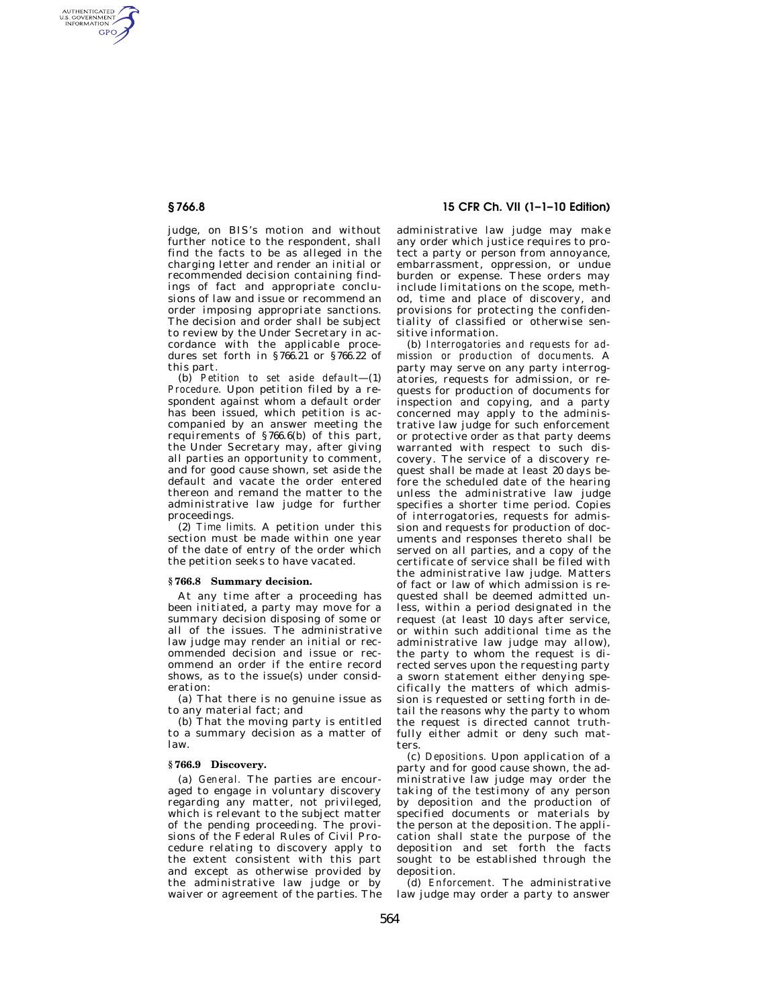AUTHENTICATED<br>U.S. GOVERNMENT<br>INFORMATION GPO

> judge, on BIS's motion and without further notice to the respondent, shall find the facts to be as alleged in the charging letter and render an initial or recommended decision containing findings of fact and appropriate conclusions of law and issue or recommend an order imposing appropriate sanctions. The decision and order shall be subject to review by the Under Secretary in accordance with the applicable procedures set forth in §766.21 or §766.22 of this part.

> (b) *Petition to set aside default*—(1) *Procedure.* Upon petition filed by a respondent against whom a default order has been issued, which petition is accompanied by an answer meeting the requirements of §766.6(b) of this part, the Under Secretary may, after giving all parties an opportunity to comment, and for good cause shown, set aside the default and vacate the order entered thereon and remand the matter to the administrative law judge for further proceedings.

> (2) *Time limits.* A petition under this section must be made within one year of the date of entry of the order which the petition seeks to have vacated.

### **§ 766.8 Summary decision.**

At any time after a proceeding has been initiated, a party may move for a summary decision disposing of some or all of the issues. The administrative law judge may render an initial or recommended decision and issue or recommend an order if the entire record shows, as to the issue(s) under consideration:

(a) That there is no genuine issue as to any material fact; and

(b) That the moving party is entitled to a summary decision as a matter of law.

#### **§ 766.9 Discovery.**

(a) *General.* The parties are encouraged to engage in voluntary discovery regarding any matter, not privileged, which is relevant to the subject matter of the pending proceeding. The provisions of the Federal Rules of Civil Procedure relating to discovery apply to the extent consistent with this part and except as otherwise provided by the administrative law judge or by waiver or agreement of the parties. The

# **§ 766.8 15 CFR Ch. VII (1–1–10 Edition)**

administrative law judge may make any order which justice requires to protect a party or person from annoyance, embarrassment, oppression, or undue burden or expense. These orders may include limitations on the scope, method, time and place of discovery, and provisions for protecting the confidentiality of classified or otherwise sensitive information.

(b) *Interrogatories and requests for admission or production of documents.* A party may serve on any party interrogatories, requests for admission, or requests for production of documents for inspection and copying, and a party concerned may apply to the administrative law judge for such enforcement or protective order as that party deems warranted with respect to such discovery. The service of a discovery request shall be made at least 20 days before the scheduled date of the hearing unless the administrative law judge specifies a shorter time period. Copies of interrogatories, requests for admission and requests for production of documents and responses thereto shall be served on all parties, and a copy of the certificate of service shall be filed with the administrative law judge. Matters of fact or law of which admission is requested shall be deemed admitted unless, within a period designated in the request (at least 10 days after service, or within such additional time as the administrative law judge may allow), the party to whom the request is directed serves upon the requesting party a sworn statement either denying specifically the matters of which admission is requested or setting forth in detail the reasons why the party to whom the request is directed cannot truthfully either admit or deny such matters.

(c) *Depositions.* Upon application of a party and for good cause shown, the administrative law judge may order the taking of the testimony of any person by deposition and the production of specified documents or materials by the person at the deposition. The application shall state the purpose of the deposition and set forth the facts sought to be established through the deposition.

(d) *Enforcement.* The administrative law judge may order a party to answer